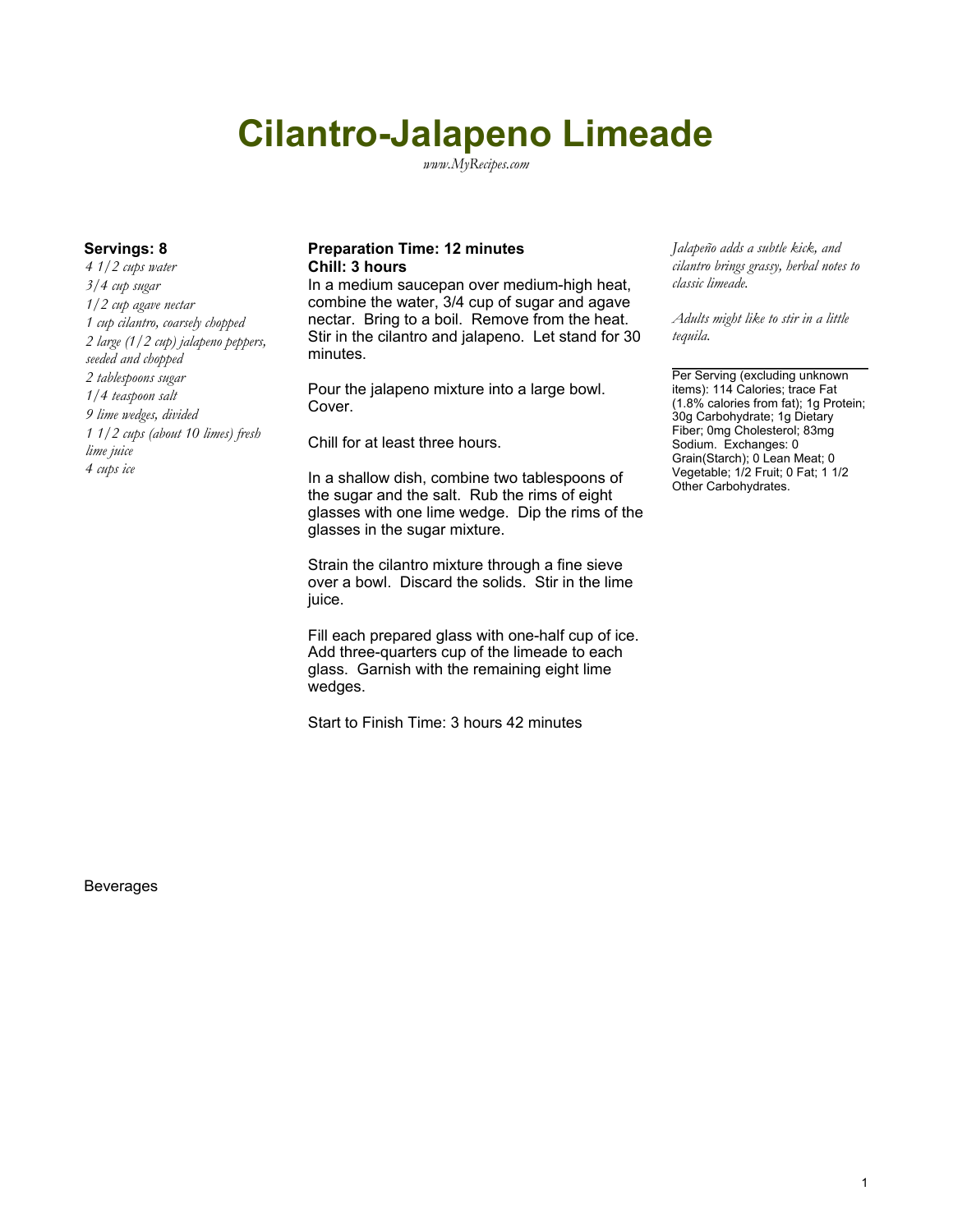# **Cilantro-Jalapeno Limeade**

*www.MyRecipes.com*

*4 1/2 cups water 3/4 cup sugar 1/2 cup agave nectar 1 cup cilantro, coarsely chopped 2 large (1/2 cup) jalapeno peppers, seeded and chopped 2 tablespoons sugar 1/4 teaspoon salt 9 lime wedges, divided 1 1/2 cups (about 10 limes) fresh lime juice 4 cups ice*

### **Servings: 8 Preparation Time: 12 minutes** *Jalapeño adds a subtle kick, and* **Chill: 3 hours**

In a medium saucepan over medium-high heat, combine the water, 3/4 cup of sugar and agave nectar. Bring to a boil. Remove from the heat. Stir in the cilantro and jalapeno. Let stand for 30 minutes.

Pour the jalapeno mixture into a large bowl. Cover.

Chill for at least three hours.

In a shallow dish, combine two tablespoons of the sugar and the salt. Rub the rims of eight glasses with one lime wedge. Dip the rims of the glasses in the sugar mixture.

Strain the cilantro mixture through a fine sieve over a bowl. Discard the solids. Stir in the lime juice.

Fill each prepared glass with one-half cup of ice. Add three-quarters cup of the limeade to each glass. Garnish with the remaining eight lime wedges.

Start to Finish Time: 3 hours 42 minutes

*cilantro brings grassy, herbal notes to classic limeade.*

*Adults might like to stir in a little tequila.*

Per Serving (excluding unknown items): 114 Calories; trace Fat (1.8% calories from fat); 1g Protein; 30g Carbohydrate; 1g Dietary Fiber; 0mg Cholesterol; 83mg Sodium. Exchanges: 0 Grain(Starch); 0 Lean Meat; 0 Vegetable; 1/2 Fruit; 0 Fat; 1 1/2 Other Carbohydrates.

Beverages